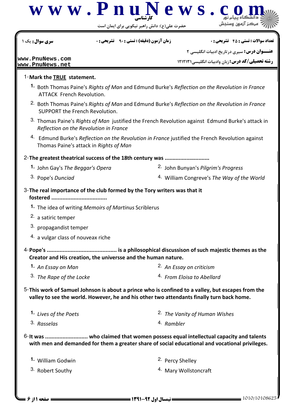

حضرت علي(ع): دانش راهبر نيكويي براي ايمان است

نعداد سوالات : تستي : 45 تشريحي : . زمان آزمون (دقيقه) : تستي : ٩٠ تشريحي : . سري سوال : يک 1

**عنـــوان درس:** سیری در تاریخ ادبیات انگلیسی ۲

**رشته تحصیلی/کد درس:** زبان وادبیات انگلیسی1۲۱۲۱۳۱

**[www.PnuNews.com](http://pnunews.com) [www.PnuNews.net](http://pnunews.net)**

## 1-Mark the TRUE statement.

- 1. Both Thomas Paine's Rights of Man and Edmund Burke's Reflection on the Revolution in France ATTACK French Revolution.
- 2. Both Thomas Paine's Rights of Man and Edmund Burke's Reflection on the Revolution in France SUPPORT the French Revolution.
- 3. Thomas Paine's Rights of Man justified the French Revolution against Edmund Burke's attack in Reflection on the Revolution in France
- 4. Edmund Burke's Reflection on the Revolution in France justified the French Revolution against Thomas Paine's attack in Rights of Man

2- The greatest theatrical success of the 18th century was ............................

- 
- 3. Pope's Dunciad
- 1. John Gay's The Beggar's Opera **1. 1998** 2. John Bunyan's Pilgrim's Progress
	- 4. William Congreve's The Way of the World

## $3$ -The real importance of the club formed by the Tory writers was that it

- fostered ..................................
- 1. The idea of writing Memoirs of Martinus Scriblerus
- 2. a satiric temper
- 3. propagandist temper
- 4. a vulgar class of nouveax riche
- Pope's ............................................ is a philosophical discussison of such majestic themes as the 4- Creator and His creation, the universse and the human nature.
	- 2. An Essay on criticism  $3.$  The Rape of the Locke  $4.$  From Eloisa to Abellard **1.** An Essay on Man
- 5-This work of Samuel Johnson is about a prince who is confined to a valley, but escapes from the valley to see the world. However, he and his other two attendants finally turn back home.

| 1. Lives of the Poets | <sup>2.</sup> The Vanity of Human Wishes |
|-----------------------|------------------------------------------|
| 3. Rasselas           | <sup>4.</sup> Rambler                    |

6-It was .......................... who claimed that women possess equal intellectual capacity and talents with men and demanded for them a greater share of social educational and vocational privileges.

| 1. William Godwin | <sup>2.</sup> Percy Shelley     |  |
|-------------------|---------------------------------|--|
| 3. Robert Southy  | <sup>4</sup> Mary Wollstoncraft |  |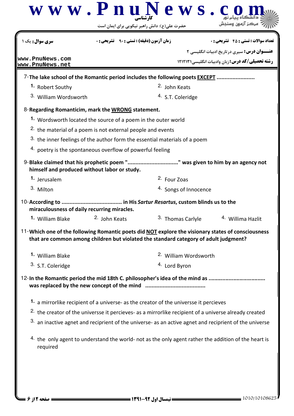| <b>سری سوال :</b> یک ۱                                                                             | <b>زمان آزمون (دقیقه) : تستی : ۹۰ تشریحی: 0</b>                                                                  |                              | <b>تعداد سوالات : تستي : 45 - تشريحي : 0</b>                                                                  |
|----------------------------------------------------------------------------------------------------|------------------------------------------------------------------------------------------------------------------|------------------------------|---------------------------------------------------------------------------------------------------------------|
| www.PnuNews.com                                                                                    |                                                                                                                  |                              | <b>عنـــوان درس:</b> سیری در تاریخ ادبیات انگلیسی ۲<br><b>رشته تحصیلی/کد درس:</b> زبان وادبیات انگلیسی۱۲۱۲۱۳۱ |
| www.PnuNews.net                                                                                    |                                                                                                                  |                              |                                                                                                               |
| 7-The lake school of the Romantic period includes the following poets <b>EXCEPT</b>                |                                                                                                                  |                              |                                                                                                               |
| 1. Robert Southy                                                                                   |                                                                                                                  | <sup>2.</sup> John Keats     |                                                                                                               |
| 3. William Wordsworth                                                                              |                                                                                                                  | <sup>4.</sup> S.T. Coleridge |                                                                                                               |
| 8-Regarding Romanticim, mark the WRONG statement.                                                  |                                                                                                                  |                              |                                                                                                               |
|                                                                                                    | 1. Wordsworth located the source of a poem in the outer world                                                    |                              |                                                                                                               |
|                                                                                                    | <sup>2.</sup> the material of a poem is not external people and events                                           |                              |                                                                                                               |
|                                                                                                    | 3. the inner feelings of the author form the essential materials of a poem                                       |                              |                                                                                                               |
|                                                                                                    | 4. poetry is the spontaneous overflow of powerful feeling                                                        |                              |                                                                                                               |
| 9-Blake claimed that his prophetic poem "" was given to him by an agency not                       | himself and produced without labor or study.                                                                     |                              |                                                                                                               |
| 1. Jerusalem                                                                                       |                                                                                                                  | <sup>2.</sup> Four Zoas      |                                                                                                               |
| 3. Milton                                                                                          |                                                                                                                  | 4. Songs of Innocence        |                                                                                                               |
| miraculousness of daily recurring miracles.                                                        |                                                                                                                  |                              |                                                                                                               |
| 1. William Blake                                                                                   | 2. John Keats                                                                                                    | 3. Thomas Carlyle            | <sup>4.</sup> Willima Hazlit                                                                                  |
| 11-Which one of the following Romantic poets did NOT explore the visionary states of consciousness | that are common among children but violated the standard category of adult judgment?                             |                              |                                                                                                               |
| 1. William Blake                                                                                   |                                                                                                                  | 2. William Wordsworth        |                                                                                                               |
| 3. S.T. Coleridge                                                                                  |                                                                                                                  | 4. Lord Byron                |                                                                                                               |
| 12-In the Romantic period the mid 18th C. philosopher's idea of the mind as                        |                                                                                                                  |                              |                                                                                                               |
|                                                                                                    |                                                                                                                  |                              |                                                                                                               |
|                                                                                                    | 1. a mirrorlike recipient of a universe- as the creator of the universse it percieves                            |                              |                                                                                                               |
|                                                                                                    | <sup>2.</sup> the creator of the universse it percieves- as a mirrorlike recipient of a universe already created |                              |                                                                                                               |
|                                                                                                    | $33$ an inactive agnet and reciprient of the universe- as an active agnet and reciprient of the universe         |                              |                                                                                                               |
|                                                                                                    |                                                                                                                  |                              |                                                                                                               |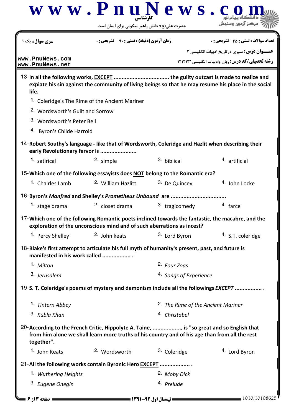|                                             | حضرت علی(ع): دانش راهبر نیکویی برای ایمان است                                                                                                                                               |                                               |                                                         |
|---------------------------------------------|---------------------------------------------------------------------------------------------------------------------------------------------------------------------------------------------|-----------------------------------------------|---------------------------------------------------------|
| <b>سری سوال :</b> یک ۱                      | <b>زمان آزمون (دقیقه) : تستی : 90 ٪ تشریحی : 0</b>                                                                                                                                          |                                               | <b>تعداد سوالات : تستي : 45 - تشريحي : 0</b>            |
|                                             |                                                                                                                                                                                             |                                               | <b>عنـــوان درس:</b> سیری در تاریخ ادبیات انگلیسی ۲     |
| www.PnuNews.com<br>www.PnuNews.net          |                                                                                                                                                                                             |                                               | <b>رشته تحصیلی/کد درس:</b> زبان وادبیات انگلیسی ۱۲۱۲۱۳۱ |
| life.                                       | expiate his sin against the community of living beings so that he may resume his place in the social                                                                                        |                                               |                                                         |
|                                             | 1. Coleridge's The Rime of the Ancient Mariner                                                                                                                                              |                                               |                                                         |
| <sup>2.</sup> Wordsworth's Guilt and Sorrow |                                                                                                                                                                                             |                                               |                                                         |
| 3. Wordsworth's Peter Bell                  |                                                                                                                                                                                             |                                               |                                                         |
| 4. Byron's Childe Harrold                   |                                                                                                                                                                                             |                                               |                                                         |
|                                             | 14-Robert Southy's language - like that of Wordsworth, Coleridge and Hazlit when describing their<br>early Revolutionary fervor is                                                          |                                               |                                                         |
| 1. satirical                                | 2. simple                                                                                                                                                                                   | 3. biblical                                   | 4. artificial                                           |
|                                             | 15-Which one of the following essayists does NOT belong to the Romantic era?                                                                                                                |                                               |                                                         |
| 1. Chalrles Lamb                            | <sup>2.</sup> William Hazlitt                                                                                                                                                               | 3. De Quincey                                 | 4. John Locke                                           |
|                                             |                                                                                                                                                                                             |                                               |                                                         |
| 1. stage drama                              | 2. closet drama                                                                                                                                                                             | 3. tragicomedy                                | 4. farce                                                |
|                                             | 17-Which one of the following Romantic poets inclined towards the fantastic, the macabre, and the<br>exploration of the unconscious mind and of such aberrations as incest?                 |                                               |                                                         |
| 1. Percy Shelley                            | 2. John keats                                                                                                                                                                               | 3. Lord Byron                                 | <sup>4.</sup> S.T. coleridge                            |
| manifested in his work called               | 18-Blake's first attempt to articulate his full myth of humanity's present, past, and future is                                                                                             |                                               |                                                         |
| <sup>1</sup> Milton                         |                                                                                                                                                                                             | 2. Four Zoas                                  |                                                         |
| 3. Jerusalem                                |                                                                                                                                                                                             | 4. Songs of Experience                        |                                                         |
|                                             | 19-S. T. Coleridge's poems of mystery and demonism include all the followings EXCEPT                                                                                                        |                                               |                                                         |
| 1. Tintern Abbey                            |                                                                                                                                                                                             | <sup>2.</sup> The Rime of the Ancient Mariner |                                                         |
| 3. Kubla Khan                               |                                                                                                                                                                                             | 4. Christabel                                 |                                                         |
| together".                                  | 20-According to the French Critic, Hippolyte A. Taine, , is "so great and so English that<br>from him alone we shall learn more truths of his country and of his age than from all the rest |                                               |                                                         |
| <sup>1.</sup> John Keats                    | 2. Wordsworth                                                                                                                                                                               | 3. Coleridge                                  | 4. Lord Byron                                           |
|                                             | 21-All the following works contain Byronic Hero EXCEPT                                                                                                                                      |                                               |                                                         |
|                                             |                                                                                                                                                                                             | 2. Moby Dick                                  |                                                         |
| <b>1.</b> Wuthering Heights                 |                                                                                                                                                                                             |                                               |                                                         |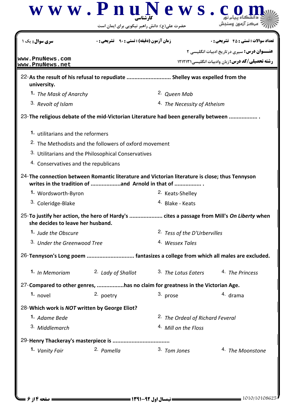|                                               | $\bf w \ w \ w \ . \ P \ n \ u \ N \ e \ w \ s \ . \ c$<br>حضرت علی(ع): دانش راهبر نیکویی برای ایمان است                                           |                                             |                                                                                                              |
|-----------------------------------------------|----------------------------------------------------------------------------------------------------------------------------------------------------|---------------------------------------------|--------------------------------------------------------------------------------------------------------------|
| <b>سری سوال :</b> یک ۱                        | <b>زمان آزمون (دقیقه) : تستی : 90 ٪ تشریحی : 0</b>                                                                                                 |                                             | <b>تعداد سوالات : تستی : 45 - تشریحی : 0</b>                                                                 |
| www.PnuNews.com<br>www.PnuNews.net            |                                                                                                                                                    |                                             | <b>عنـــوان درس:</b> سیری درتاریخ ادبیات انگلیسی ۲<br><b>رشته تحصیلی/کد درس:</b> زبان وادبیات انگلیسی1۲۱۲۱۳۱ |
| university.                                   | 22-As the result of his refusal to repudiate  Shelley was expelled from the                                                                        |                                             |                                                                                                              |
| 1. The Mask of Anarchy                        |                                                                                                                                                    | <sup>2.</sup> Queen Mab                     |                                                                                                              |
| 3. Revolt of Islam                            |                                                                                                                                                    | 4. The Necessity of Atheism                 |                                                                                                              |
|                                               | 23-The religious debate of the mid-Victorian Literature had been generally between                                                                 |                                             |                                                                                                              |
| 1. utilitarians and the reformers             |                                                                                                                                                    |                                             |                                                                                                              |
|                                               | <sup>2.</sup> The Methodists and the followers of oxford movement                                                                                  |                                             |                                                                                                              |
|                                               | 3. Utilitarians and the Philosophical Conservatives                                                                                                |                                             |                                                                                                              |
| 4. Conservatives and the republicans          |                                                                                                                                                    |                                             |                                                                                                              |
|                                               | 24-The connection between Romantic literature and Victorian literature is close; thus Tennyson<br>writes in the tradition of and Arnold in that of |                                             |                                                                                                              |
| 1. Wordsworth-Byron                           |                                                                                                                                                    | <sup>2.</sup> Keats-Shelley                 |                                                                                                              |
| <sup>3.</sup> Coleridge-Blake                 |                                                                                                                                                    | <sup>4.</sup> Blake - Keats                 |                                                                                                              |
| she decides to leave her husband.             | 25-To justify her action, the hero of Hardy's  cites a passage from Mill's On Liberty when                                                         |                                             |                                                                                                              |
| 1. Jude the Obscure                           |                                                                                                                                                    | <sup>2.</sup> Tess of the D'Urbervilles     |                                                                                                              |
| 3. Under the Greenwood Tree                   |                                                                                                                                                    | 4. Wessex Tales                             |                                                                                                              |
|                                               | 26-Tennyson's Long poem  fantasizes a college from which all males are excluded.                                                                   |                                             |                                                                                                              |
| <b>1.</b> In Memoriam                         | <sup>2.</sup> Lady of Shallot                                                                                                                      | <sup>3.</sup> The Lotus Eaters              | 4. The Princess                                                                                              |
|                                               | 27-Compared to other genres, has no claim for greatness in the Victorian Age.                                                                      |                                             |                                                                                                              |
| 1. novel                                      | 2. poetry                                                                                                                                          | 3. prose                                    | 4. drama                                                                                                     |
| 28-Which work is NOT written by George Eliot? |                                                                                                                                                    |                                             |                                                                                                              |
| 1. Adame Bede                                 |                                                                                                                                                    | <sup>2.</sup> The Ordeal of Richard Feveral |                                                                                                              |
| 3. Middlemarch                                |                                                                                                                                                    | <sup>4</sup> Mill on the Floss              |                                                                                                              |
|                                               |                                                                                                                                                    |                                             |                                                                                                              |
| 1. Vanity Fair                                | 2. Pamella                                                                                                                                         | 3. Tom Jones                                | 4. The Moonstone                                                                                             |
|                                               |                                                                                                                                                    |                                             |                                                                                                              |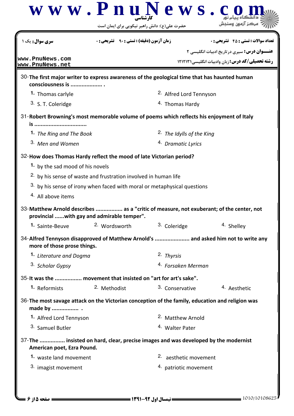|                                                                                                                  | حضرت علی(ع): دانش راهبر نیکویی برای ایمان است                                       |                                      | www.PnuNews.c                                                                      |
|------------------------------------------------------------------------------------------------------------------|-------------------------------------------------------------------------------------|--------------------------------------|------------------------------------------------------------------------------------|
| <b>سری سوال :</b> یک ۱                                                                                           | <b>زمان آزمون (دقیقه) : تستی : 90 ٪ تشریحی : 0</b>                                  |                                      | تعداد سوالات : تستي : 45 - تشريحي : 0                                              |
| www.PnuNews.com                                                                                                  |                                                                                     |                                      | <b>عنـــوان درس:</b> سیری در تاریخ ادبیات انگلیسی ۲                                |
| www.PnuNews.net                                                                                                  |                                                                                     |                                      | <b>رشته تحصیلی/کد درس: زبان وادبیات انگلیسی ۱۲۱۲۱۳۱</b>                            |
| 30-The first major writer to express awareness of the geological time that has haunted human<br>consciousness is |                                                                                     |                                      |                                                                                    |
| 1. Thomas carlyle                                                                                                |                                                                                     | <sup>2.</sup> Alfred Lord Tennyson   |                                                                                    |
| 3. S. T. Coleridge                                                                                               |                                                                                     | <sup>4.</sup> Thomas Hardy           |                                                                                    |
| 31-Robert Browning's most memorable volume of poems which reflects his enjoyment of Italy<br>is                  |                                                                                     |                                      |                                                                                    |
| 1. The Ring and The Book                                                                                         |                                                                                     | <sup>2.</sup> The Idylls of the King |                                                                                    |
| 3. Men and Women                                                                                                 |                                                                                     | <sup>4.</sup> Dramatic Lyrics        |                                                                                    |
|                                                                                                                  |                                                                                     |                                      |                                                                                    |
| 32-How does Thomas Hardy reflect the mood of late Victorian period?                                              |                                                                                     |                                      |                                                                                    |
| 1. by the sad mood of his novels                                                                                 |                                                                                     |                                      |                                                                                    |
|                                                                                                                  | <sup>2.</sup> by his sense of waste and frustration involved in human life          |                                      |                                                                                    |
| 4. All above items                                                                                               | <sup>3.</sup> by his sense of irony when faced with moral or metaphysical questions |                                      |                                                                                    |
|                                                                                                                  |                                                                                     |                                      |                                                                                    |
| 33-Matthew Arnold describes  as a "critic of measure, not exuberant; of the center, not                          | provincial with gay and admirable temper".                                          |                                      |                                                                                    |
| 1. Sainte-Beuve                                                                                                  | 2. Wordsworth                                                                       | 3. Coleridge                         | 4. Shelley                                                                         |
| more of those prose things.                                                                                      |                                                                                     |                                      | 34-Alfred Tennyson disapproved of Matthew Arnold's  and asked him not to write any |
| 1. Literature and Dogma                                                                                          |                                                                                     | 2. Thyrsis                           |                                                                                    |
| 3. Scholar Gypsy                                                                                                 |                                                                                     | 4. Forsaken Merman                   |                                                                                    |
| 35-It was the  movement that insisted on "art for art's sake".                                                   |                                                                                     |                                      |                                                                                    |
| 1. Reformists                                                                                                    | 2. Methodist                                                                        | 3. Conservative                      | <sup>4</sup> Aesthetic                                                             |
| 36-The most savage attack on the Victorian conception of the family, education and religion was<br>made by  .    |                                                                                     |                                      |                                                                                    |
| 1. Alfred Lord Tennyson                                                                                          |                                                                                     | <sup>2.</sup> Matthew Arnold         |                                                                                    |
| 3. Samuel Butler                                                                                                 |                                                                                     | <sup>4.</sup> Walter Pater           |                                                                                    |
|                                                                                                                  | 37-The  insisted on hard, clear, precise images and was developed by the modernist  |                                      |                                                                                    |
|                                                                                                                  |                                                                                     |                                      |                                                                                    |
| American poet, Ezra Pound.<br>1. waste land movement                                                             |                                                                                     | 2. aesthetic movement                |                                                                                    |